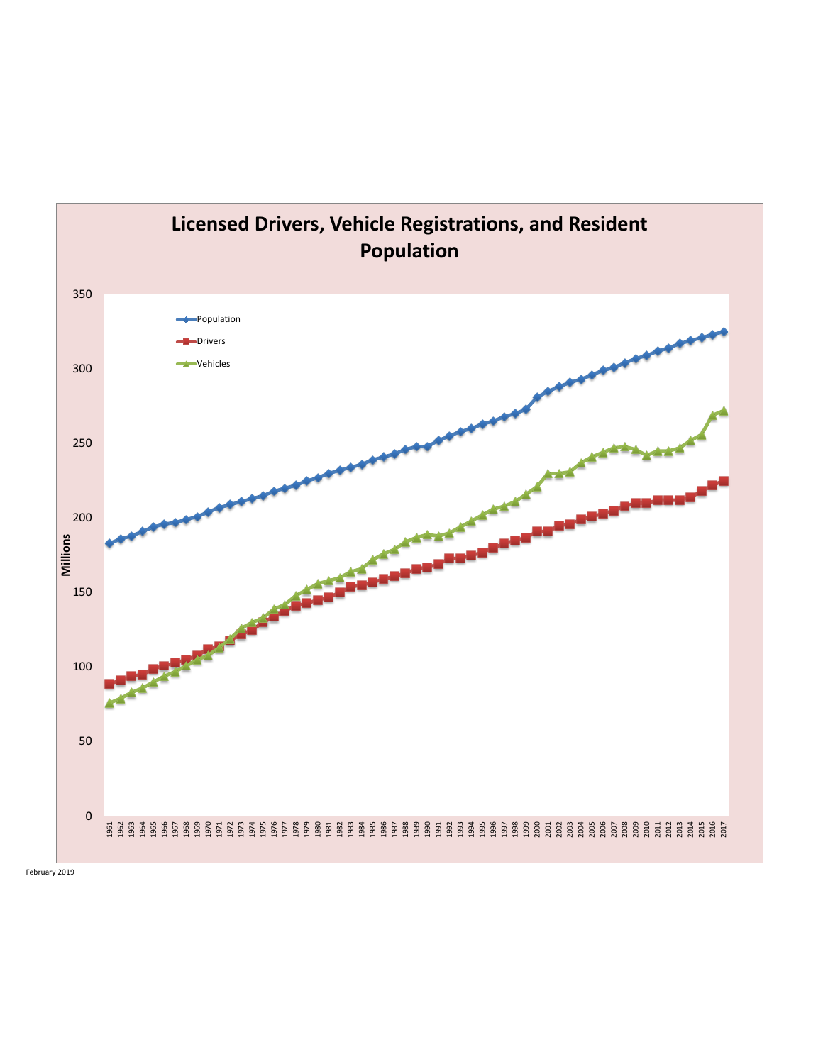